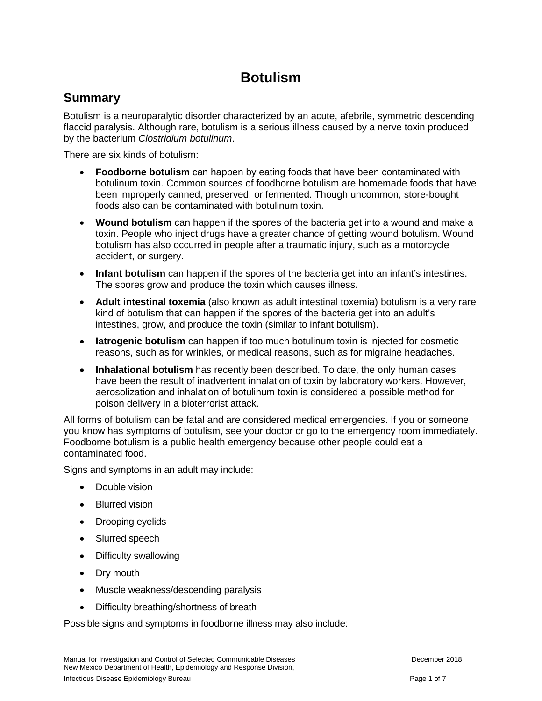# **Botulism**

### **Summary**

Botulism is a neuroparalytic disorder characterized by an acute, afebrile, symmetric descending flaccid paralysis. Although rare, botulism is a serious illness caused by a nerve toxin produced by the bacterium *Clostridium botulinum*.

There are six kinds of botulism:

- **Foodborne botulism** can happen by eating foods that have been contaminated with botulinum toxin. Common sources of foodborne botulism are homemade foods that have been improperly canned, preserved, or fermented. Though uncommon, store-bought foods also can be contaminated with botulinum toxin.
- **Wound botulism** can happen if the spores of the bacteria get into a wound and make a toxin. People who inject drugs have a greater chance of getting wound botulism. Wound botulism has also occurred in people after a traumatic injury, such as a motorcycle accident, or surgery.
- **Infant botulism** can happen if the spores of the bacteria get into an infant's intestines. The spores grow and produce the toxin which causes illness.
- **Adult intestinal toxemia** (also known as adult intestinal toxemia) botulism is a very rare kind of botulism that can happen if the spores of the bacteria get into an adult's intestines, grow, and produce the toxin (similar to infant botulism).
- **Iatrogenic botulism** can happen if too much botulinum toxin is injected for cosmetic reasons, such as for wrinkles, or medical reasons, such as for migraine headaches.
- **Inhalational botulism** has recently been described. To date, the only human cases have been the result of inadvertent inhalation of toxin by laboratory workers. However, aerosolization and inhalation of botulinum toxin is considered a possible method for poison delivery in a bioterrorist attack.

All forms of botulism can be fatal and are considered medical emergencies. If you or someone you know has symptoms of botulism, see your doctor or go to the emergency room immediately. Foodborne botulism is a public health emergency because other people could eat a contaminated food.

Signs and symptoms in an adult may include:

- Double vision
- Blurred vision
- Drooping eyelids
- Slurred speech
- Difficulty swallowing
- Dry mouth
- Muscle weakness/descending paralysis
- Difficulty breathing/shortness of breath

Possible signs and symptoms in foodborne illness may also include: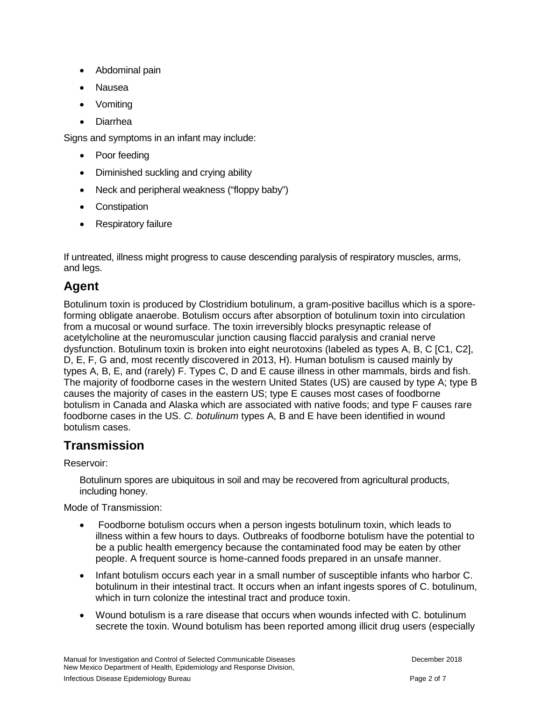- Abdominal pain
- Nausea
- Vomiting
- Diarrhea

Signs and symptoms in an infant may include:

- Poor feeding
- Diminished suckling and crying ability
- Neck and peripheral weakness ("floppy baby")
- Constipation
- Respiratory failure

If untreated, illness might progress to cause descending paralysis of respiratory muscles, arms, and legs.

## **Agent**

Botulinum toxin is produced by Clostridium botulinum, a gram-positive bacillus which is a sporeforming obligate anaerobe. Botulism occurs after absorption of botulinum toxin into circulation from a mucosal or wound surface. The toxin irreversibly blocks presynaptic release of acetylcholine at the neuromuscular junction causing flaccid paralysis and cranial nerve dysfunction. Botulinum toxin is broken into eight neurotoxins (labeled as types A, B, C [C1, C2], D, E, F, G and, most recently discovered in 2013, H). Human botulism is caused mainly by types A, B, E, and (rarely) F. Types C, D and E cause illness in other mammals, birds and fish. The majority of foodborne cases in the western United States (US) are caused by type A; type B causes the majority of cases in the eastern US; type E causes most cases of foodborne botulism in Canada and Alaska which are associated with native foods; and type F causes rare foodborne cases in the US. *C. botulinum* types A, B and E have been identified in wound botulism cases.

## **Transmission**

Reservoir:

Botulinum spores are ubiquitous in soil and may be recovered from agricultural products, including honey.

Mode of Transmission:

- Foodborne botulism occurs when a person ingests botulinum toxin, which leads to illness within a few hours to days. Outbreaks of foodborne botulism have the potential to be a public health emergency because the contaminated food may be eaten by other people. A frequent source is home-canned foods prepared in an unsafe manner.
- Infant botulism occurs each year in a small number of susceptible infants who harbor C. botulinum in their intestinal tract. It occurs when an infant ingests spores of C. botulinum, which in turn colonize the intestinal tract and produce toxin.
- Wound botulism is a rare disease that occurs when wounds infected with C. botulinum secrete the toxin. Wound botulism has been reported among illicit drug users (especially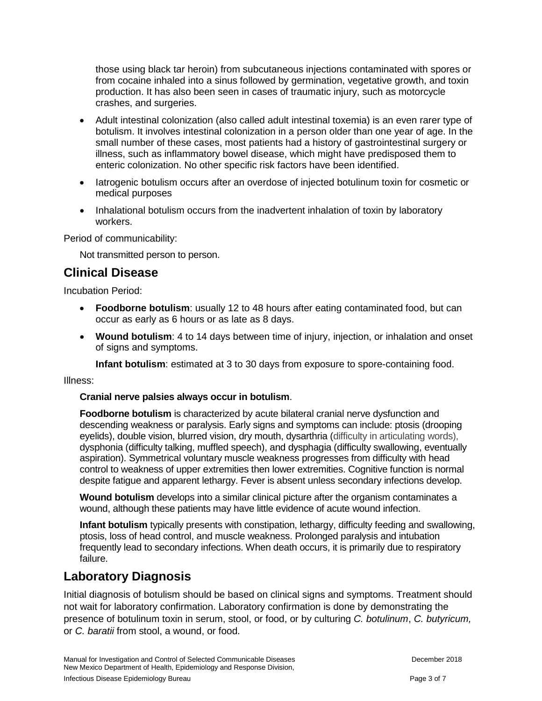those using black tar heroin) from subcutaneous injections contaminated with spores or from cocaine inhaled into a sinus followed by germination, vegetative growth, and toxin production. It has also been seen in cases of traumatic injury, such as motorcycle crashes, and surgeries.

- Adult intestinal colonization (also called adult intestinal toxemia) is an even rarer type of botulism. It involves intestinal colonization in a person older than one year of age. In the small number of these cases, most patients had a history of gastrointestinal surgery or illness, such as inflammatory bowel disease, which might have predisposed them to enteric colonization. No other specific risk factors have been identified.
- latrogenic botulism occurs after an overdose of injected botulinum toxin for cosmetic or medical purposes
- Inhalational botulism occurs from the inadvertent inhalation of toxin by laboratory workers.

Period of communicability:

Not transmitted person to person.

### **Clinical Disease**

Incubation Period:

- **Foodborne botulism**: usually 12 to 48 hours after eating contaminated food, but can occur as early as 6 hours or as late as 8 days.
- **Wound botulism**: 4 to 14 days between time of injury, injection, or inhalation and onset of signs and symptoms.

**Infant botulism**: estimated at 3 to 30 days from exposure to spore-containing food.

Illness:

#### **Cranial nerve palsies always occur in botulism**.

**Foodborne botulism** is characterized by acute bilateral cranial nerve dysfunction and descending weakness or paralysis. Early signs and symptoms can include: ptosis (drooping eyelids), double vision, blurred vision, dry mouth, dysarthria (difficulty in articulating words), dysphonia (difficulty talking, muffled speech), and dysphagia (difficulty swallowing, eventually aspiration). Symmetrical voluntary muscle weakness progresses from difficulty with head control to weakness of upper extremities then lower extremities. Cognitive function is normal despite fatigue and apparent lethargy. Fever is absent unless secondary infections develop.

**Wound botulism** develops into a similar clinical picture after the organism contaminates a wound, although these patients may have little evidence of acute wound infection.

**Infant botulism** typically presents with constipation, lethargy, difficulty feeding and swallowing, ptosis, loss of head control, and muscle weakness. Prolonged paralysis and intubation frequently lead to secondary infections. When death occurs, it is primarily due to respiratory failure.

### **Laboratory Diagnosis**

Initial diagnosis of botulism should be based on clinical signs and symptoms. Treatment should not wait for laboratory confirmation. Laboratory confirmation is done by demonstrating the presence of botulinum toxin in serum, stool, or food, or by culturing *C. botulinum*, *C. butyricum,* or *C. baratii* from stool, a wound, or food.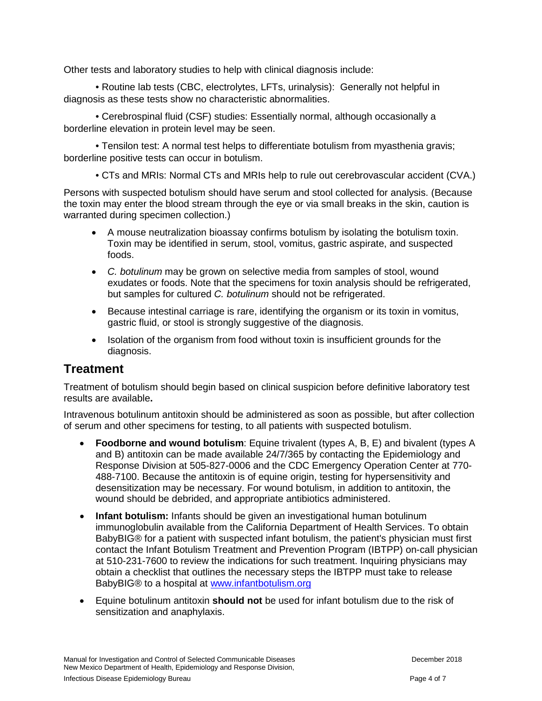Other tests and laboratory studies to help with clinical diagnosis include:

• Routine lab tests (CBC, electrolytes, LFTs, urinalysis): Generally not helpful in diagnosis as these tests show no characteristic abnormalities.

• Cerebrospinal fluid (CSF) studies: Essentially normal, although occasionally a borderline elevation in protein level may be seen.

• Tensilon test: A normal test helps to differentiate botulism from myasthenia gravis; borderline positive tests can occur in botulism.

• CTs and MRIs: Normal CTs and MRIs help to rule out cerebrovascular accident (CVA.)

Persons with suspected botulism should have serum and stool collected for analysis. (Because the toxin may enter the blood stream through the eye or via small breaks in the skin, caution is warranted during specimen collection.)

- A mouse neutralization bioassay confirms botulism by isolating the botulism toxin. Toxin may be identified in serum, stool, vomitus, gastric aspirate, and suspected foods.
- *C. botulinum* may be grown on selective media from samples of stool, wound exudates or foods. Note that the specimens for toxin analysis should be refrigerated, but samples for cultured *C. botulinum* should not be refrigerated.
- Because intestinal carriage is rare, identifying the organism or its toxin in vomitus, gastric fluid, or stool is strongly suggestive of the diagnosis.
- Isolation of the organism from food without toxin is insufficient grounds for the diagnosis.

### **Treatment**

Treatment of botulism should begin based on clinical suspicion before definitive laboratory test results are available**.**

Intravenous botulinum antitoxin should be administered as soon as possible, but after collection of serum and other specimens for testing, to all patients with suspected botulism.

- **Foodborne and wound botulism**: Equine trivalent (types A, B, E) and bivalent (types A and B) antitoxin can be made available 24/7/365 by contacting the Epidemiology and Response Division at 505-827-0006 and the CDC Emergency Operation Center at 770- 488-7100. Because the antitoxin is of equine origin, testing for hypersensitivity and desensitization may be necessary. For wound botulism, in addition to antitoxin, the wound should be debrided, and appropriate antibiotics administered.
- **Infant botulism:** Infants should be given an investigational human botulinum immunoglobulin available from the California Department of Health Services. To obtain BabyBIG® for a patient with suspected infant botulism, the patient's physician must first contact the Infant Botulism Treatment and Prevention Program (IBTPP) on-call physician at 510-231-7600 to review the indications for such treatment. Inquiring physicians may obtain a checklist that outlines the necessary steps the IBTPP must take to release BabyBIG® to a hospital at [www.infantbotulism.org](http://www.infantbotulism.org/)
- Equine botulinum antitoxin **should not** be used for infant botulism due to the risk of sensitization and anaphylaxis.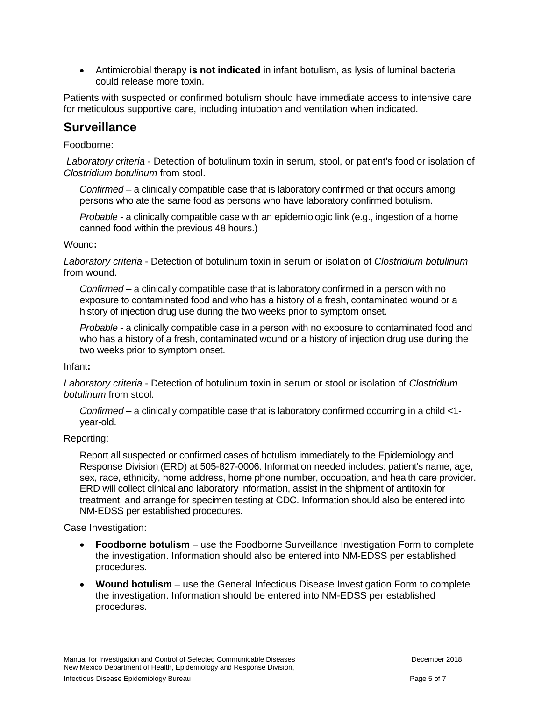• Antimicrobial therapy **is not indicated** in infant botulism, as lysis of luminal bacteria could release more toxin.

Patients with suspected or confirmed botulism should have immediate access to intensive care for meticulous supportive care, including intubation and ventilation when indicated.

#### **Surveillance**

#### Foodborne:

*Laboratory criteria* - Detection of botulinum toxin in serum, stool, or patient's food or isolation of *Clostridium botulinum* from stool.

*Confirmed* – a clinically compatible case that is laboratory confirmed or that occurs among persons who ate the same food as persons who have laboratory confirmed botulism.

*Probable* - a clinically compatible case with an epidemiologic link (e.g., ingestion of a home canned food within the previous 48 hours.)

#### Wound**:**

*Laboratory criteria* - Detection of botulinum toxin in serum or isolation of *Clostridium botulinum* from wound.

*Confirmed* – a clinically compatible case that is laboratory confirmed in a person with no exposure to contaminated food and who has a history of a fresh, contaminated wound or a history of injection drug use during the two weeks prior to symptom onset.

*Probable* - a clinically compatible case in a person with no exposure to contaminated food and who has a history of a fresh, contaminated wound or a history of injection drug use during the two weeks prior to symptom onset.

#### Infant**:**

*Laboratory criteria* - Detection of botulinum toxin in serum or stool or isolation of *Clostridium botulinum* from stool.

*Confirmed* – a clinically compatible case that is laboratory confirmed occurring in a child <1 year-old.

#### Reporting:

Report all suspected or confirmed cases of botulism immediately to the Epidemiology and Response Division (ERD) at 505-827-0006. Information needed includes: patient's name, age, sex, race, ethnicity, home address, home phone number, occupation, and health care provider. ERD will collect clinical and laboratory information, assist in the shipment of antitoxin for treatment, and arrange for specimen testing at CDC. Information should also be entered into NM-EDSS per established procedures.

Case Investigation:

- **Foodborne botulism** use the Foodborne Surveillance Investigation Form to complete the investigation. Information should also be entered into NM-EDSS per established procedures.
- **Wound botulism** use the General Infectious Disease Investigation Form to complete the investigation. Information should be entered into NM-EDSS per established procedures.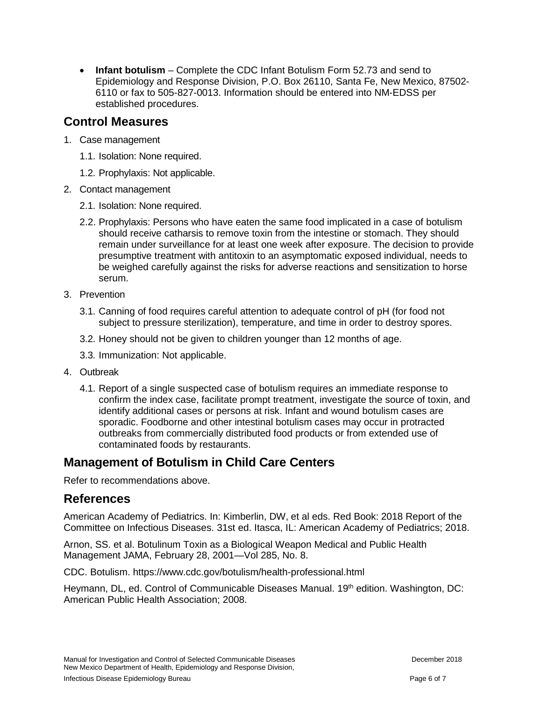• **Infant botulism** – Complete the CDC Infant Botulism Form 52.73 and send to Epidemiology and Response Division, P.O. Box 26110, Santa Fe, New Mexico, 87502- 6110 or fax to 505-827-0013. Information should be entered into NM-EDSS per established procedures.

### **Control Measures**

- 1. Case management
	- 1.1. Isolation: None required.
	- 1.2. Prophylaxis: Not applicable.
- 2. Contact management
	- 2.1. Isolation: None required.
	- 2.2. Prophylaxis: Persons who have eaten the same food implicated in a case of botulism should receive catharsis to remove toxin from the intestine or stomach. They should remain under surveillance for at least one week after exposure. The decision to provide presumptive treatment with antitoxin to an asymptomatic exposed individual, needs to be weighed carefully against the risks for adverse reactions and sensitization to horse serum.
- 3. Prevention
	- 3.1. Canning of food requires careful attention to adequate control of pH (for food not subject to pressure sterilization), temperature, and time in order to destroy spores.
	- 3.2. Honey should not be given to children younger than 12 months of age.
	- 3.3. Immunization: Not applicable.
- 4. Outbreak
	- 4.1. Report of a single suspected case of botulism requires an immediate response to confirm the index case, facilitate prompt treatment, investigate the source of toxin, and identify additional cases or persons at risk. Infant and wound botulism cases are sporadic. Foodborne and other intestinal botulism cases may occur in protracted outbreaks from commercially distributed food products or from extended use of contaminated foods by restaurants.

### **Management of Botulism in Child Care Centers**

Refer to recommendations above.

### **References**

American Academy of Pediatrics. In: Kimberlin, DW, et al eds. Red Book: 2018 Report of the Committee on Infectious Diseases. 31st ed. Itasca, IL: American Academy of Pediatrics; 2018.

Arnon, SS. et al. Botulinum Toxin as a Biological Weapon Medical and Public Health Management JAMA, February 28, 2001—Vol 285, No. 8.

CDC. Botulism. https://www.cdc.gov/botulism/health-professional.html

Heymann, DL, ed. Control of Communicable Diseases Manual. 19<sup>th</sup> edition. Washington, DC: American Public Health Association; 2008.